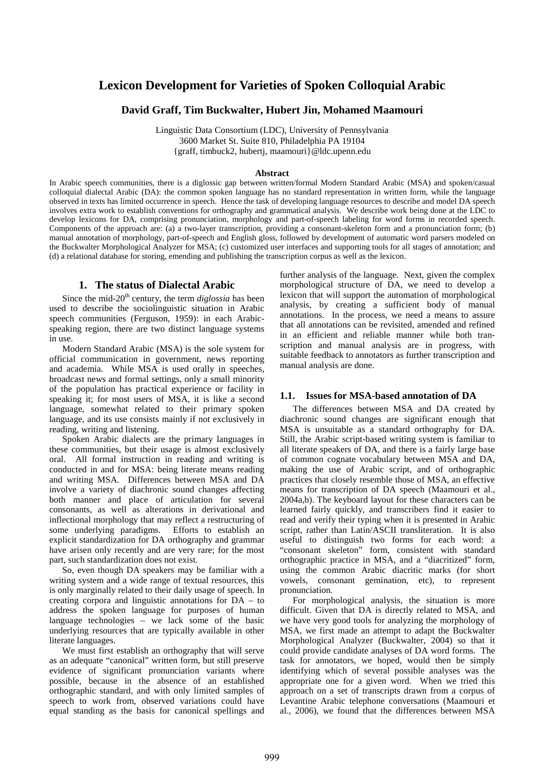# **Lexicon Development for Varieties of Spoken Colloquial Arabic**

# **David Graff, Tim Buckwalter, Hubert Jin, Mohamed Maamouri**

Linguistic Data Consortium (LDC), University of Pennsylvania 3600 Market St. Suite 810, Philadelphia PA 19104 {graff, timbuck2, hubertj, maamouri}@ldc.upenn.edu

#### **Abstract**

In Arabic speech communities, there is a diglossic gap between written/formal Modern Standard Arabic (MSA) and spoken/casual colloquial dialectal Arabic (DA): the common spoken language has no standard representation in written form, while the language observed in texts has limited occurrence in speech. Hence the task of developing language resources to describe and model DA speech involves extra work to establish conventions for orthography and grammatical analysis. We describe work being done at the LDC to develop lexicons for DA, comprising pronunciation, morphology and part-of-speech labeling for word forms in recorded speech. Components of the approach are: (a) a two-layer transcription, providing a consonant-skeleton form and a pronunciation form; (b) manual annotation of morphology, part-of-speech and English gloss, followed by development of automatic word parsers modeled on the Buckwalter Morphological Analyzer for MSA; (c) customized user interfaces and supporting tools for all stages of annotation; and (d) a relational database for storing, emending and publishing the transcription corpus as well as the lexicon.

# **1. The status of Dialectal Arabic**

Since the mid-20<sup>th</sup> century, the term  $diglossia$  has been used to describe the sociolinguistic situation in Arabic speech communities (Ferguson, 1959): in each Arabicspeaking region, there are two distinct language systems in use.

Modern Standard Arabic (MSA) is the sole system for official communication in government, news reporting and academia. While MSA is used orally in speeches, broadcast news and formal settings, only a small minority of the population has practical experience or facility in speaking it; for most users of MSA, it is like a second language, somewhat related to their primary spoken language, and its use consists mainly if not exclusively in reading, writing and listening.

Spoken Arabic dialects are the primary languages in these communities, but their usage is almost exclusively oral. All formal instruction in reading and writing is conducted in and for MSA: being literate means reading and writing MSA. Differences between MSA and DA involve a variety of diachronic sound changes affecting both manner and place of articulation for several consonants, as well as alterations in derivational and inflectional morphology that may reflect a restructuring of some underlying paradigms. Efforts to establish an explicit standardization for DA orthography and grammar have arisen only recently and are very rare; for the most part, such standardization does not exist.

So, even though DA speakers may be familiar with a writing system and a wide range of textual resources, this is only marginally related to their daily usage of speech. In creating corpora and linguistic annotations for DA – to address the spoken language for purposes of human language technologies – we lack some of the basic underlying resources that are typically available in other literate languages.

We must first establish an orthography that will serve as an adequate "canonical" written form, but still preserve evidence of significant pronunciation variants where possible, because in the absence of an established orthographic standard, and with only limited samples of speech to work from, observed variations could have equal standing as the basis for canonical spellings and further analysis of the language. Next, given the complex morphological structure of DA, we need to develop a lexicon that will support the automation of morphological analysis, by creating a sufficient body of manual annotations. In the process, we need a means to assure that all annotations can be revisited, amended and refined in an efficient and reliable manner while both transcription and manual analysis are in progress, with suitable feedback to annotators as further transcription and manual analysis are done.

### **1.1. Issues for MSA-based annotation of DA**

The differences between MSA and DA created by diachronic sound changes are significant enough that MSA is unsuitable as a standard orthography for DA. Still, the Arabic script-based writing system is familiar to all literate speakers of DA, and there is a fairly large base of common cognate vocabulary between MSA and DA, making the use of Arabic script, and of orthographic practices that closely resemble those of MSA, an effective means for transcription of DA speech (Maamouri et al., 2004a,b). The keyboard layout for these characters can be learned fairly quickly, and transcribers find it easier to read and verify their typing when it is presented in Arabic script, rather than Latin/ASCII transliteration. It is also useful to distinguish two forms for each word: a "consonant skeleton" form, consistent with standard orthographic practice in MSA, and a "diacritized" form, using the common Arabic diacritic marks (for short vowels, consonant gemination, etc), to represent pronunciation.

For morphological analysis, the situation is more difficult. Given that DA is directly related to MSA, and we have very good tools for analyzing the morphology of MSA, we first made an attempt to adapt the Buckwalter Morphological Analyzer (Buckwalter, 2004) so that it could provide candidate analyses of DA word forms. The task for annotators, we hoped, would then be simply identifying which of several possible analyses was the appropriate one for a given word. When we tried this approach on a set of transcripts drawn from a corpus of Levantine Arabic telephone conversations (Maamouri et al., 2006), we found that the differences between MSA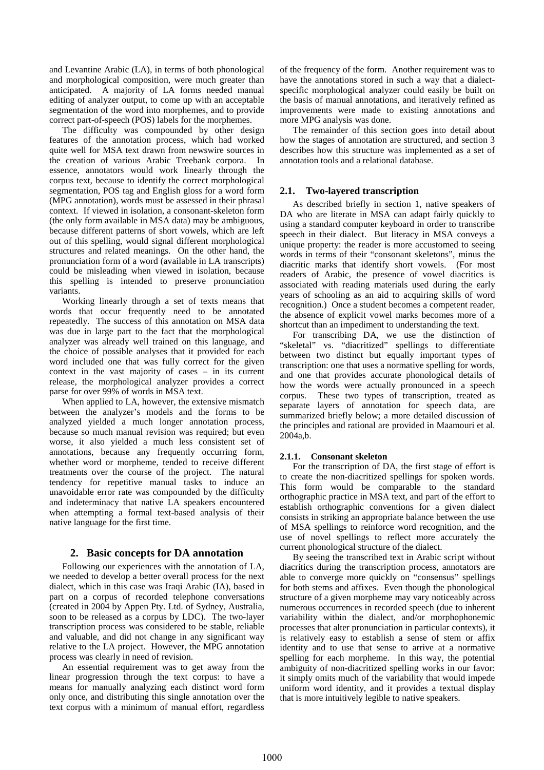and Levantine Arabic (LA), in terms of both phonological and morphological composition, were much greater than anticipated. A majority of LA forms needed manual editing of analyzer output, to come up with an acceptable segmentation of the word into morphemes, and to provide correct part-of-speech (POS) labels for the morphemes.

The difficulty was compounded by other design features of the annotation process, which had worked quite well for MSA text drawn from newswire sources in the creation of various Arabic Treebank corpora. In essence, annotators would work linearly through the corpus text, because to identify the correct morphological segmentation, POS tag and English gloss for a word form (MPG annotation), words must be assessed in their phrasal context. If viewed in isolation, a consonant-skeleton form (the only form available in MSA data) may be ambiguous, because different patterns of short vowels, which are left out of this spelling, would signal different morphological structures and related meanings. On the other hand, the pronunciation form of a word (available in LA transcripts) could be misleading when viewed in isolation, because this spelling is intended to preserve pronunciation variants.

Working linearly through a set of texts means that words that occur frequently need to be annotated repeatedly. The success of this annotation on MSA data was due in large part to the fact that the morphological analyzer was already well trained on this language, and the choice of possible analyses that it provided for each word included one that was fully correct for the given context in the vast majority of cases – in its current release, the morphological analyzer provides a correct parse for over 99% of words in MSA text.

When applied to LA, however, the extensive mismatch between the analyzer's models and the forms to be analyzed yielded a much longer annotation process, because so much manual revision was required; but even worse, it also yielded a much less consistent set of annotations, because any frequently occurring form, whether word or morpheme, tended to receive different treatments over the course of the project. The natural tendency for repetitive manual tasks to induce an unavoidable error rate was compounded by the difficulty and indeterminacy that native LA speakers encountered when attempting a formal text-based analysis of their native language for the first time.

# **2. Basic concepts for DA annotation**

Following our experiences with the annotation of LA, we needed to develop a better overall process for the next dialect, which in this case was Iraqi Arabic (IA), based in part on a corpus of recorded telephone conversations (created in 2004 by Appen Pty. Ltd. of Sydney, Australia, soon to be released as a corpus by LDC). The two-layer transcription process was considered to be stable, reliable and valuable, and did not change in any significant way relative to the LA project. However, the MPG annotation process was clearly in need of revision.

An essential requirement was to get away from the linear progression through the text corpus: to have a means for manually analyzing each distinct word form only once, and distributing this single annotation over the text corpus with a minimum of manual effort, regardless of the frequency of the form. Another requirement was to have the annotations stored in such a way that a dialectspecific morphological analyzer could easily be built on the basis of manual annotations, and iteratively refined as improvements were made to existing annotations and more MPG analysis was done.

The remainder of this section goes into detail about how the stages of annotation are structured, and section 3 describes how this structure was implemented as a set of annotation tools and a relational database.

### **2.1. Two-layered transcription**

As described briefly in section 1, native speakers of DA who are literate in MSA can adapt fairly quickly to using a standard computer keyboard in order to transcribe speech in their dialect. But literacy in MSA conveys a unique property: the reader is more accustomed to seeing words in terms of their "consonant skeletons", minus the diacritic marks that identify short vowels. (For most readers of Arabic, the presence of vowel diacritics is associated with reading materials used during the early years of schooling as an aid to acquiring skills of word recognition.) Once a student becomes a competent reader, the absence of explicit vowel marks becomes more of a shortcut than an impediment to understanding the text.

For transcribing DA, we use the distinction of "skeletal" vs. "diacritized" spellings to differentiate between two distinct but equally important types of transcription: one that uses a normative spelling for words, and one that provides accurate phonological details of how the words were actually pronounced in a speech corpus. These two types of transcription, treated as separate layers of annotation for speech data, are summarized briefly below; a more detailed discussion of the principles and rational are provided in Maamouri et al. 2004a,b.

### **2.1.1. Consonant skeleton**

For the transcription of DA, the first stage of effort is to create the non-diacritized spellings for spoken words. This form would be comparable to the standard orthographic practice in MSA text, and part of the effort to establish orthographic conventions for a given dialect consists in striking an appropriate balance between the use of MSA spellings to reinforce word recognition, and the use of novel spellings to reflect more accurately the current phonological structure of the dialect.

By seeing the transcribed text in Arabic script without diacritics during the transcription process, annotators are able to converge more quickly on "consensus" spellings for both stems and affixes. Even though the phonological structure of a given morpheme may vary noticeably across numerous occurrences in recorded speech (due to inherent variability within the dialect, and/or morphophonemic processes that alter pronunciation in particular contexts), it is relatively easy to establish a sense of stem or affix identity and to use that sense to arrive at a normative spelling for each morpheme. In this way, the potential ambiguity of non-diacritized spelling works in our favor: it simply omits much of the variability that would impede uniform word identity, and it provides a textual display that is more intuitively legible to native speakers.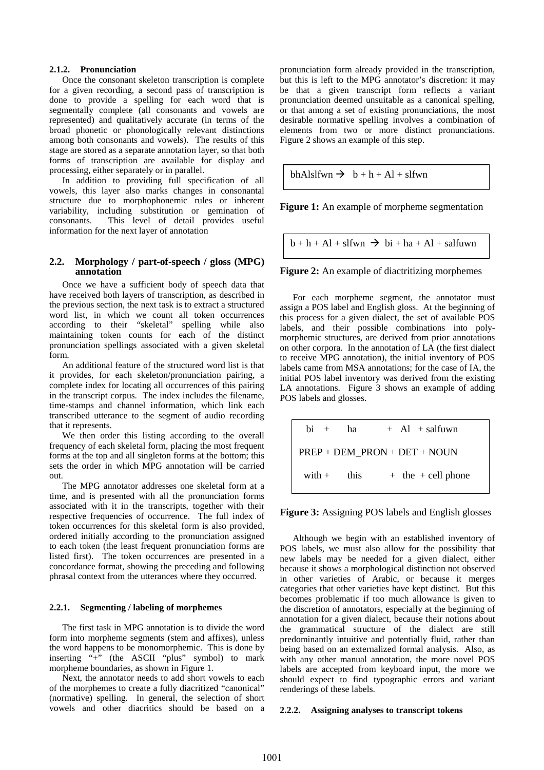#### **2.1.2. Pronunciation**

Once the consonant skeleton transcription is complete for a given recording, a second pass of transcription is done to provide a spelling for each word that is segmentally complete (all consonants and vowels are represented) and qualitatively accurate (in terms of the broad phonetic or phonologically relevant distinctions among both consonants and vowels). The results of this stage are stored as a separate annotation layer, so that both forms of transcription are available for display and processing, either separately or in parallel.

In addition to providing full specification of all vowels, this layer also marks changes in consonantal structure due to morphophonemic rules or inherent variability, including substitution or gemination of consonants. This level of detail provides useful information for the next layer of annotation

# **2.2. Morphology / part-of-speech / gloss (MPG) annotation**

Once we have a sufficient body of speech data that have received both layers of transcription, as described in the previous section, the next task is to extract a structured word list, in which we count all token occurrences according to their "skeletal" spelling while also maintaining token counts for each of the distinct pronunciation spellings associated with a given skeletal form.

An additional feature of the structured word list is that it provides, for each skeleton/pronunciation pairing, a complete index for locating all occurrences of this pairing in the transcript corpus. The index includes the filename, time-stamps and channel information, which link each transcribed utterance to the segment of audio recording that it represents.

We then order this listing according to the overall frequency of each skeletal form, placing the most frequent forms at the top and all singleton forms at the bottom; this sets the order in which MPG annotation will be carried out.

The MPG annotator addresses one skeletal form at a time, and is presented with all the pronunciation forms associated with it in the transcripts, together with their respective frequencies of occurrence. The full index of token occurrences for this skeletal form is also provided, ordered initially according to the pronunciation assigned to each token (the least frequent pronunciation forms are listed first). The token occurrences are presented in a concordance format, showing the preceding and following phrasal context from the utterances where they occurred.

### **2.2.1. Segmenting / labeling of morphemes**

The first task in MPG annotation is to divide the word form into morpheme segments (stem and affixes), unless the word happens to be monomorphemic. This is done by inserting "+" (the ASCII "plus" symbol) to mark morpheme boundaries, as shown in Figure 1.

Next, the annotator needs to add short vowels to each of the morphemes to create a fully diacritized "canonical" (normative) spelling. In general, the selection of short vowels and other diacritics should be based on a pronunciation form already provided in the transcription, but this is left to the MPG annotator's discretion: it may be that a given transcript form reflects a variant pronunciation deemed unsuitable as a canonical spelling, or that among a set of existing pronunciations, the most desirable normative spelling involves a combination of elements from two or more distinct pronunciations. Figure 2 shows an example of this step.

bhAlslfwn  $\rightarrow b + h + Al + s$ lfwn

**Figure 1:** An example of morpheme segmentation

 $b + h + Al + s$  fwn  $\rightarrow bi + ha + Al + s$ alfuwn

**Figure 2:** An example of diactritizing morphemes

For each morpheme segment, the annotator must assign a POS label and English gloss. At the beginning of this process for a given dialect, the set of available POS labels, and their possible combinations into polymorphemic structures, are derived from prior annotations on other corpora. In the annotation of LA (the first dialect to receive MPG annotation), the initial inventory of POS labels came from MSA annotations; for the case of IA, the initial POS label inventory was derived from the existing LA annotations. Figure 3 shows an example of adding POS labels and glosses.

$$
\begin{array}{|rcll} \hline \text{bi} & + & \text{ha} & + & \text{Al} & + \text{salfuwn} \\ \hline \text{PREF} + \text{DEM\_PRON} + \text{DET} + \text{NOUN} \\ \text{with} & + & \text{the} & + \text{cell phone} \end{array}
$$

**Figure 3:** Assigning POS labels and English glosses

Although we begin with an established inventory of POS labels, we must also allow for the possibility that new labels may be needed for a given dialect, either because it shows a morphological distinction not observed in other varieties of Arabic, or because it merges categories that other varieties have kept distinct. But this becomes problematic if too much allowance is given to the discretion of annotators, especially at the beginning of annotation for a given dialect, because their notions about the grammatical structure of the dialect are still predominantly intuitive and potentially fluid, rather than being based on an externalized formal analysis. Also, as with any other manual annotation, the more novel POS labels are accepted from keyboard input, the more we should expect to find typographic errors and variant renderings of these labels.

### **2.2.2. Assigning analyses to transcript tokens**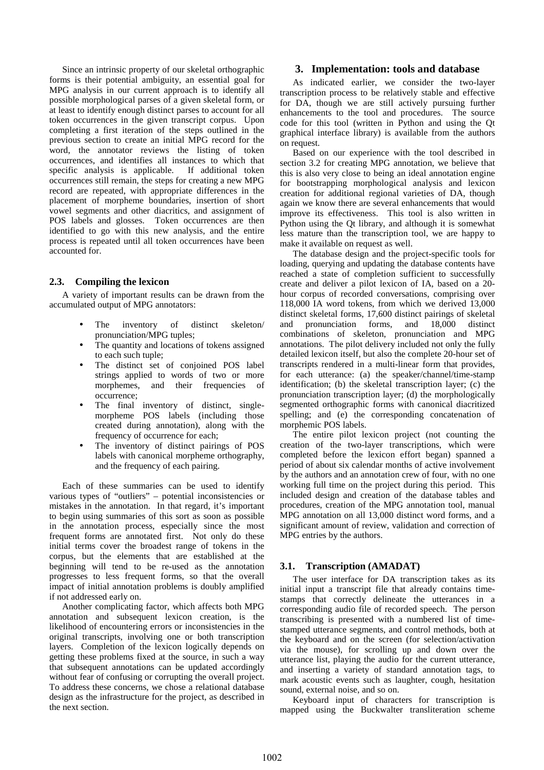Since an intrinsic property of our skeletal orthographic forms is their potential ambiguity, an essential goal for MPG analysis in our current approach is to identify all possible morphological parses of a given skeletal form, or at least to identify enough distinct parses to account for all token occurrences in the given transcript corpus. Upon completing a first iteration of the steps outlined in the previous section to create an initial MPG record for the word, the annotator reviews the listing of token occurrences, and identifies all instances to which that specific analysis is applicable. occurrences still remain, the steps for creating a new MPG record are repeated, with appropriate differences in the placement of morpheme boundaries, insertion of short vowel segments and other diacritics, and assignment of POS labels and glosses. Token occurrences are then identified to go with this new analysis, and the entire process is repeated until all token occurrences have been accounted for.

# **2.3. Compiling the lexicon**

A variety of important results can be drawn from the accumulated output of MPG annotators:

- The inventory of distinct skeleton/ pronunciation/MPG tuples;
- The quantity and locations of tokens assigned to each such tuple;
- The distinct set of conjoined POS label strings applied to words of two or more morphemes, and their frequencies of occurrence;
- The final inventory of distinct, singlemorpheme POS labels (including those created during annotation), along with the frequency of occurrence for each;
- The inventory of distinct pairings of POS labels with canonical morpheme orthography, and the frequency of each pairing.

Each of these summaries can be used to identify various types of "outliers" – potential inconsistencies or mistakes in the annotation. In that regard, it's important to begin using summaries of this sort as soon as possible in the annotation process, especially since the most frequent forms are annotated first. Not only do these initial terms cover the broadest range of tokens in the corpus, but the elements that are established at the beginning will tend to be re-used as the annotation progresses to less frequent forms, so that the overall impact of initial annotation problems is doubly amplified if not addressed early on.

Another complicating factor, which affects both MPG annotation and subsequent lexicon creation, is the likelihood of encountering errors or inconsistencies in the original transcripts, involving one or both transcription layers. Completion of the lexicon logically depends on getting these problems fixed at the source, in such a way that subsequent annotations can be updated accordingly without fear of confusing or corrupting the overall project. To address these concerns, we chose a relational database design as the infrastructure for the project, as described in the next section.

# **3. Implementation: tools and database**

As indicated earlier, we consider the two-layer transcription process to be relatively stable and effective for DA, though we are still actively pursuing further enhancements to the tool and procedures. The source code for this tool (written in Python and using the Qt graphical interface library) is available from the authors on request.

Based on our experience with the tool described in section 3.2 for creating MPG annotation, we believe that this is also very close to being an ideal annotation engine for bootstrapping morphological analysis and lexicon creation for additional regional varieties of DA, though again we know there are several enhancements that would improve its effectiveness. This tool is also written in Python using the Qt library, and although it is somewhat less mature than the transcription tool, we are happy to make it available on request as well.

The database design and the project-specific tools for loading, querying and updating the database contents have reached a state of completion sufficient to successfully create and deliver a pilot lexicon of IA, based on a 20 hour corpus of recorded conversations, comprising over 118,000 IA word tokens, from which we derived 13,000 distinct skeletal forms, 17,600 distinct pairings of skeletal and pronunciation forms, and 18,000 distinct combinations of skeleton, pronunciation and MPG annotations. The pilot delivery included not only the fully detailed lexicon itself, but also the complete 20-hour set of transcripts rendered in a multi-linear form that provides, for each utterance: (a) the speaker/channel/time-stamp identification; (b) the skeletal transcription layer; (c) the pronunciation transcription layer; (d) the morphologically segmented orthographic forms with canonical diacritized spelling; and (e) the corresponding concatenation of morphemic POS labels.

The entire pilot lexicon project (not counting the creation of the two-layer transcriptions, which were completed before the lexicon effort began) spanned a period of about six calendar months of active involvement by the authors and an annotation crew of four, with no one working full time on the project during this period. This included design and creation of the database tables and procedures, creation of the MPG annotation tool, manual MPG annotation on all 13,000 distinct word forms, and a significant amount of review, validation and correction of MPG entries by the authors.

# **3.1. Transcription (AMADAT)**

The user interface for DA transcription takes as its initial input a transcript file that already contains timestamps that correctly delineate the utterances in a corresponding audio file of recorded speech. The person transcribing is presented with a numbered list of timestamped utterance segments, and control methods, both at the keyboard and on the screen (for selection/activation via the mouse), for scrolling up and down over the utterance list, playing the audio for the current utterance, and inserting a variety of standard annotation tags, to mark acoustic events such as laughter, cough, hesitation sound, external noise, and so on.

Keyboard input of characters for transcription is mapped using the Buckwalter transliteration scheme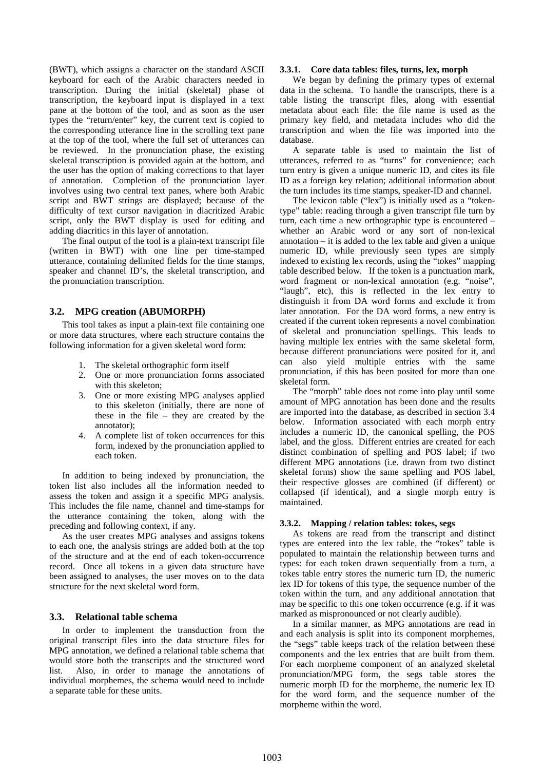(BWT), which assigns a character on the standard ASCII keyboard for each of the Arabic characters needed in transcription. During the initial (skeletal) phase of transcription, the keyboard input is displayed in a text pane at the bottom of the tool, and as soon as the user types the "return/enter" key, the current text is copied to the corresponding utterance line in the scrolling text pane at the top of the tool, where the full set of utterances can be reviewed. In the pronunciation phase, the existing skeletal transcription is provided again at the bottom, and the user has the option of making corrections to that layer of annotation. Completion of the pronunciation layer involves using two central text panes, where both Arabic script and BWT strings are displayed; because of the difficulty of text cursor navigation in diacritized Arabic script, only the BWT display is used for editing and adding diacritics in this layer of annotation.

The final output of the tool is a plain-text transcript file (written in BWT) with one line per time-stamped utterance, containing delimited fields for the time stamps, speaker and channel ID's, the skeletal transcription, and the pronunciation transcription.

### **3.2. MPG creation (ABUMORPH)**

This tool takes as input a plain-text file containing one or more data structures, where each structure contains the following information for a given skeletal word form:

- 1. The skeletal orthographic form itself
- 2. One or more pronunciation forms associated with this skeleton;
- 3. One or more existing MPG analyses applied to this skeleton (initially, there are none of these in the file – they are created by the annotator);
- 4. A complete list of token occurrences for this form, indexed by the pronunciation applied to each token.

In addition to being indexed by pronunciation, the token list also includes all the information needed to assess the token and assign it a specific MPG analysis. This includes the file name, channel and time-stamps for the utterance containing the token, along with the preceding and following context, if any.

As the user creates MPG analyses and assigns tokens to each one, the analysis strings are added both at the top of the structure and at the end of each token-occurrence record. Once all tokens in a given data structure have been assigned to analyses, the user moves on to the data structure for the next skeletal word form.

### **3.3. Relational table schema**

In order to implement the transduction from the original transcript files into the data structure files for MPG annotation, we defined a relational table schema that would store both the transcripts and the structured word list. Also, in order to manage the annotations of individual morphemes, the schema would need to include a separate table for these units.

### **3.3.1. Core data tables: files, turns, lex, morph**

We began by defining the primary types of external data in the schema. To handle the transcripts, there is a table listing the transcript files, along with essential metadata about each file: the file name is used as the primary key field, and metadata includes who did the transcription and when the file was imported into the database.

A separate table is used to maintain the list of utterances, referred to as "turns" for convenience; each turn entry is given a unique numeric ID, and cites its file ID as a foreign key relation; additional information about the turn includes its time stamps, speaker-ID and channel.

The lexicon table ("lex") is initially used as a "tokentype" table: reading through a given transcript file turn by turn, each time a new orthographic type is encountered – whether an Arabic word or any sort of non-lexical annotation – it is added to the lex table and given a unique numeric ID, while previously seen types are simply indexed to existing lex records, using the "tokes" mapping table described below. If the token is a punctuation mark, word fragment or non-lexical annotation (e.g. "noise", "laugh", etc), this is reflected in the lex entry to distinguish it from DA word forms and exclude it from later annotation. For the DA word forms, a new entry is created if the current token represents a novel combination of skeletal and pronunciation spellings. This leads to having multiple lex entries with the same skeletal form, because different pronunciations were posited for it, and can also yield multiple entries with the same pronunciation, if this has been posited for more than one skeletal form.

The "morph" table does not come into play until some amount of MPG annotation has been done and the results are imported into the database, as described in section 3.4 below. Information associated with each morph entry includes a numeric ID, the canonical spelling, the POS label, and the gloss. Different entries are created for each distinct combination of spelling and POS label; if two different MPG annotations (i.e. drawn from two distinct skeletal forms) show the same spelling and POS label, their respective glosses are combined (if different) or collapsed (if identical), and a single morph entry is maintained.

#### **3.3.2. Mapping / relation tables: tokes, segs**

As tokens are read from the transcript and distinct types are entered into the lex table, the "tokes" table is populated to maintain the relationship between turns and types: for each token drawn sequentially from a turn, a tokes table entry stores the numeric turn ID, the numeric lex ID for tokens of this type, the sequence number of the token within the turn, and any additional annotation that may be specific to this one token occurrence (e.g. if it was marked as mispronounced or not clearly audible).

In a similar manner, as MPG annotations are read in and each analysis is split into its component morphemes, the "segs" table keeps track of the relation between these components and the lex entries that are built from them. For each morpheme component of an analyzed skeletal pronunciation/MPG form, the segs table stores the numeric morph ID for the morpheme, the numeric lex ID for the word form, and the sequence number of the morpheme within the word.